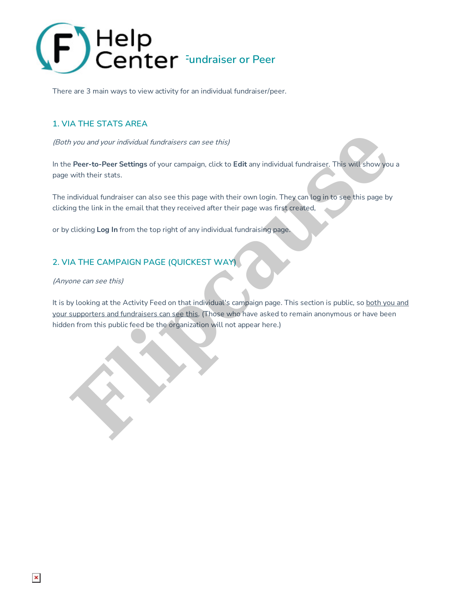

There are 3 main ways to view activity for an individual fundraiser/peer.

## **1. VIA THE STATS AREA**

(Both you and your individual fundraisers can see this)

In the **Peer-to-Peer Settings** of your campaign, click to **Edit** any individual fundraiser. This will show you a page with their stats.

The individual fundraiser can also see this page with their own login. They can log in to see this page by clicking the link in the email that they received after their page was first created,

or by clicking **Log In** from the top right of any individual fundraising page.

## **2. VIA THE CAMPAIGN PAGE (QUICKEST WAY)**

(Anyone can see this)

It is by looking at the Activity Feed on that individual's campaign page. This section is public, so both you and your supporters and fundraisers can see this. (Those who have asked to remain anonymous or have been hidden from this public feed be the organization will not appear here.) In your and your individual fundraisers can see this)<br> **Fluent Co-Peer Settings** of your campaign, click to **Edit** any individual fundraiser. This will show you<br>
with their stats.<br>
Individual fundraiser can also see this p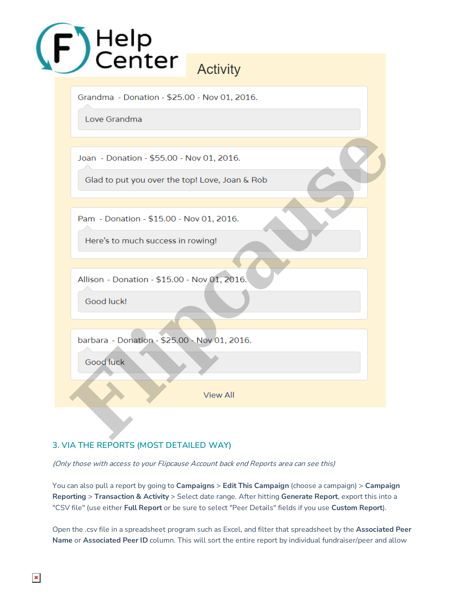

## **3. VIA THE REPORTS (MOST DETAILED WAY)**

(Only those with access to your Flipcause Account back end Reports area can see this)

You can also pull a report by going to **Campaigns** > **Edit This Campaign** (choose a campaign) > **Campaign Reporting** > **Transaction & Activity** > Select date range. After hitting **Generate Report**, export this into a "CSV file" (use either **Full Report** or be sure to select "Peer Details" fields if you use **Custom Report**).

Open the .csv file in a spreadsheet program such as Excel, and filter that spreadsheet by the **Associated Peer Name** or **Associated Peer ID** column. This will sort the entire report by individual fundraiser/peer and allow